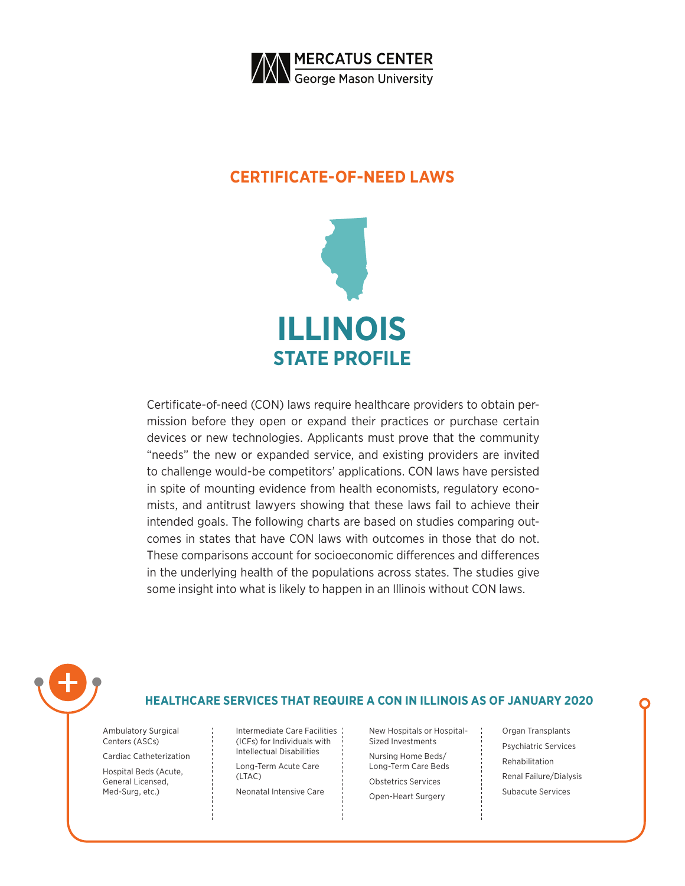

### **CERTIFICATE-OF-NEED LAWS**



Certificate-of-need (CON) laws require healthcare providers to obtain permission before they open or expand their practices or purchase certain devices or new technologies. Applicants must prove that the community "needs" the new or expanded service, and existing providers are invited to challenge would-be competitors' applications. CON laws have persisted in spite of mounting evidence from health economists, regulatory economists, and antitrust lawyers showing that these laws fail to achieve their intended goals. The following charts are based on studies comparing outcomes in states that have CON laws with outcomes in those that do not. These comparisons account for socioeconomic differences and differences in the underlying health of the populations across states. The studies give some insight into what is likely to happen in an Illinois without CON laws.



### **HEALTHCARE SERVICES THAT REQUIRE A CON IN ILLINOIS AS OF JANUARY 2020**

Ambulatory Surgical Centers (ASCs)

Cardiac Catheterization

Hospital Beds (Acute, General Licensed, Med-Surg, etc.)

Intermediate Care Facilities (ICFs) for Individuals with Intellectual Disabilities

Long-Term Acute Care (LTAC)

Neonatal Intensive Care

New Hospitals or Hospital-Sized Investments Nursing Home Beds/ Long-Term Care Beds Obstetrics Services Open-Heart Surgery

Organ Transplants Psychiatric Services Rehabilitation Renal Failure/Dialysis Subacute Services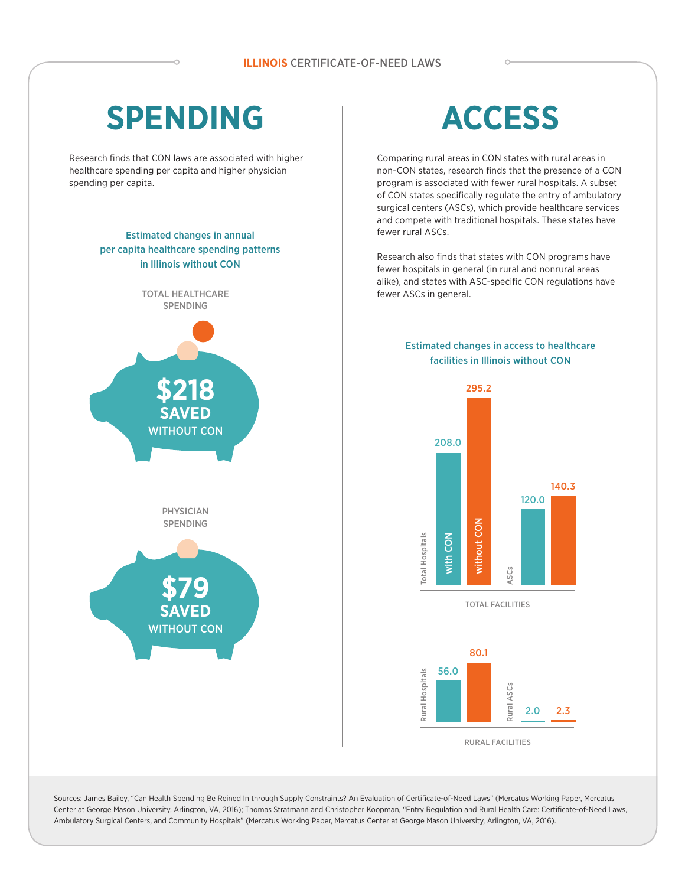## **SPENDING**

Research finds that CON laws are associated with higher healthcare spending per capita and higher physician spending per capita.

#### Estimated changes in annual per capita healthcare spending patterns in Illinois without CON



# **ACCESS**

Comparing rural areas in CON states with rural areas in non-CON states, research finds that the presence of a CON program is associated with fewer rural hospitals. A subset of CON states specifically regulate the entry of ambulatory surgical centers (ASCs), which provide healthcare services and compete with traditional hospitals. These states have fewer rural ASCs.

Research also finds that states with CON programs have fewer hospitals in general (in rural and nonrural areas alike), and states with ASC-specific CON regulations have fewer ASCs in general.

#### Estimated changes in access to healthcare facilities in Illinois without CON



RURAL FACILITIES

2.0

2.3

Sources: James Bailey, "Can Health Spending Be Reined In through Supply Constraints? An Evaluation of Certificate-of-Need Laws" (Mercatus Working Paper, Mercatus Center at George Mason University, Arlington, VA, 2016); Thomas Stratmann and Christopher Koopman, "Entry Regulation and Rural Health Care: Certificate-of-Need Laws, Ambulatory Surgical Centers, and Community Hospitals" (Mercatus Working Paper, Mercatus Center at George Mason University, Arlington, VA, 2016).